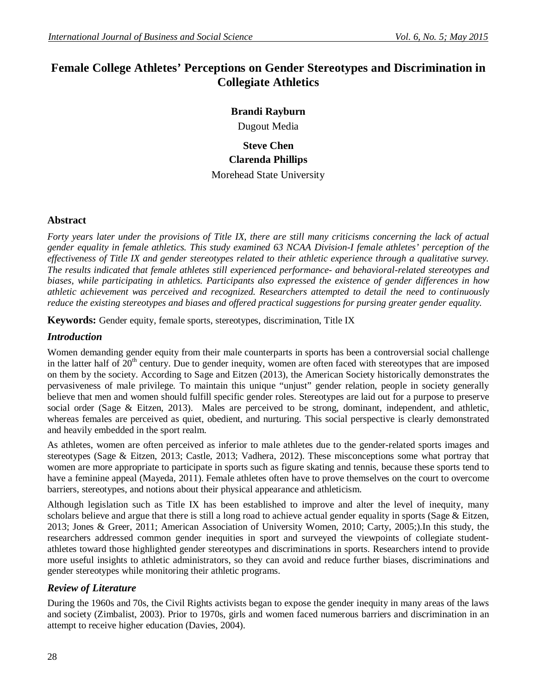# **Female College Athletes' Perceptions on Gender Stereotypes and Discrimination in Collegiate Athletics**

# **Brandi Rayburn**

Dugout Media

# **Steve Chen Clarenda Phillips** Morehead State University

## **Abstract**

*Forty years later under the provisions of Title IX, there are still many criticisms concerning the lack of actual gender equality in female athletics. This study examined 63 NCAA Division-I female athletes' perception of the effectiveness of Title IX and gender stereotypes related to their athletic experience through a qualitative survey. The results indicated that female athletes still experienced performance- and behavioral-related stereotypes and biases, while participating in athletics. Participants also expressed the existence of gender differences in how athletic achievement was perceived and recognized. Researchers attempted to detail the need to continuously reduce the existing stereotypes and biases and offered practical suggestions for pursing greater gender equality.* 

**Keywords:** Gender equity, female sports, stereotypes, discrimination, Title IX

## *Introduction*

Women demanding gender equity from their male counterparts in sports has been a controversial social challenge in the latter half of 20<sup>th</sup> century. Due to gender inequity, women are often faced with stereotypes that are imposed on them by the society. According to Sage and Eitzen (2013), the American Society historically demonstrates the pervasiveness of male privilege. To maintain this unique "unjust" gender relation, people in society generally believe that men and women should fulfill specific gender roles. Stereotypes are laid out for a purpose to preserve social order (Sage & Eitzen, 2013). Males are perceived to be strong, dominant, independent, and athletic, whereas females are perceived as quiet, obedient, and nurturing. This social perspective is clearly demonstrated and heavily embedded in the sport realm.

As athletes, women are often perceived as inferior to male athletes due to the gender-related sports images and stereotypes (Sage & Eitzen, 2013; Castle, 2013; Vadhera, 2012). These misconceptions some what portray that women are more appropriate to participate in sports such as figure skating and tennis, because these sports tend to have a feminine appeal (Mayeda, 2011). Female athletes often have to prove themselves on the court to overcome barriers, stereotypes, and notions about their physical appearance and athleticism.

Although legislation such as Title IX has been established to improve and alter the level of inequity, many scholars believe and argue that there is still a long road to achieve actual gender equality in sports (Sage & Eitzen, 2013; Jones & Greer, 2011; American Association of University Women, 2010; Carty, 2005;).In this study, the researchers addressed common gender inequities in sport and surveyed the viewpoints of collegiate studentathletes toward those highlighted gender stereotypes and discriminations in sports. Researchers intend to provide more useful insights to athletic administrators, so they can avoid and reduce further biases, discriminations and gender stereotypes while monitoring their athletic programs.

## *Review of Literature*

During the 1960s and 70s, the Civil Rights activists began to expose the gender inequity in many areas of the laws and society (Zimbalist, 2003). Prior to 1970s, girls and women faced numerous barriers and discrimination in an attempt to receive higher education (Davies, 2004).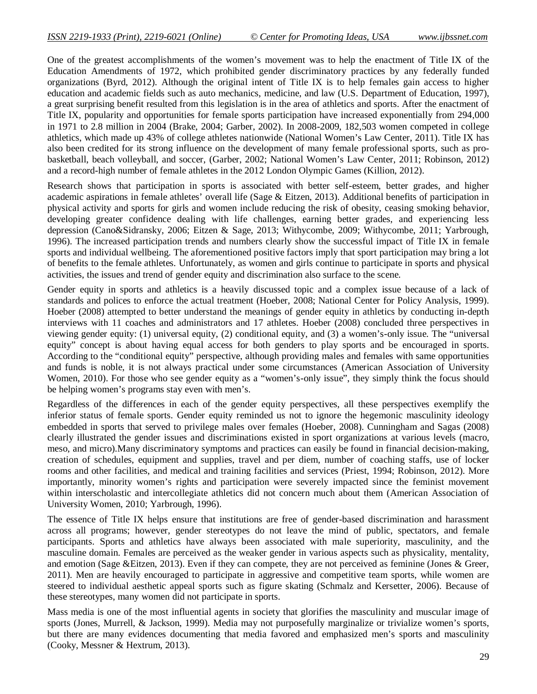One of the greatest accomplishments of the women's movement was to help the enactment of Title IX of the Education Amendments of 1972, which prohibited gender discriminatory practices by any federally funded organizations (Byrd, 2012). Although the original intent of Title IX is to help females gain access to higher education and academic fields such as auto mechanics, medicine, and law (U.S. Department of Education, 1997), a great surprising benefit resulted from this legislation is in the area of athletics and sports. After the enactment of Title IX, popularity and opportunities for female sports participation have increased exponentially from 294,000 in 1971 to 2.8 million in 2004 (Brake, 2004; Garber, 2002). In 2008-2009, 182,503 women competed in college athletics, which made up 43% of college athletes nationwide (National Women's Law Center, 2011). Title IX has also been credited for its strong influence on the development of many female professional sports, such as probasketball, beach volleyball, and soccer, (Garber, 2002; National Women's Law Center, 2011; Robinson, 2012) and a record-high number of female athletes in the 2012 London Olympic Games (Killion, 2012).

Research shows that participation in sports is associated with better self-esteem, better grades, and higher academic aspirations in female athletes' overall life (Sage & Eitzen, 2013). Additional benefits of participation in physical activity and sports for girls and women include reducing the risk of obesity, ceasing smoking behavior, developing greater confidence dealing with life challenges, earning better grades, and experiencing less depression (Cano&Sidransky, 2006; Eitzen & Sage, 2013; Withycombe, 2009; Withycombe, 2011; Yarbrough, 1996). The increased participation trends and numbers clearly show the successful impact of Title IX in female sports and individual wellbeing. The aforementioned positive factors imply that sport participation may bring a lot of benefits to the female athletes. Unfortunately, as women and girls continue to participate in sports and physical activities, the issues and trend of gender equity and discrimination also surface to the scene.

Gender equity in sports and athletics is a heavily discussed topic and a complex issue because of a lack of standards and polices to enforce the actual treatment (Hoeber, 2008; National Center for Policy Analysis, 1999). Hoeber (2008) attempted to better understand the meanings of gender equity in athletics by conducting in-depth interviews with 11 coaches and administrators and 17 athletes. Hoeber (2008) concluded three perspectives in viewing gender equity: (1) universal equity, (2) conditional equity, and (3) a women's-only issue. The "universal equity" concept is about having equal access for both genders to play sports and be encouraged in sports. According to the "conditional equity" perspective, although providing males and females with same opportunities and funds is noble, it is not always practical under some circumstances (American Association of University Women, 2010). For those who see gender equity as a "women's-only issue", they simply think the focus should be helping women's programs stay even with men's.

Regardless of the differences in each of the gender equity perspectives, all these perspectives exemplify the inferior status of female sports. Gender equity reminded us not to ignore the hegemonic masculinity ideology embedded in sports that served to privilege males over females (Hoeber, 2008). Cunningham and Sagas (2008) clearly illustrated the gender issues and discriminations existed in sport organizations at various levels (macro, meso, and micro).Many discriminatory symptoms and practices can easily be found in financial decision-making, creation of schedules, equipment and supplies, travel and per diem, number of coaching staffs, use of locker rooms and other facilities, and medical and training facilities and services (Priest, 1994; Robinson, 2012). More importantly, minority women's rights and participation were severely impacted since the feminist movement within interscholastic and intercollegiate athletics did not concern much about them (American Association of University Women, 2010; Yarbrough, 1996).

The essence of Title IX helps ensure that institutions are free of gender-based discrimination and harassment across all programs; however, gender stereotypes do not leave the mind of public, spectators, and female participants. Sports and athletics have always been associated with male superiority, masculinity, and the masculine domain. Females are perceived as the weaker gender in various aspects such as physicality, mentality, and emotion (Sage &Eitzen, 2013). Even if they can compete, they are not perceived as feminine (Jones & Greer, 2011). Men are heavily encouraged to participate in aggressive and competitive team sports, while women are steered to individual aesthetic appeal sports such as figure skating (Schmalz and Kersetter, 2006). Because of these stereotypes, many women did not participate in sports.

Mass media is one of the most influential agents in society that glorifies the masculinity and muscular image of sports (Jones, Murrell, & Jackson, 1999). Media may not purposefully marginalize or trivialize women's sports, but there are many evidences documenting that media favored and emphasized men's sports and masculinity (Cooky, Messner & Hextrum, 2013).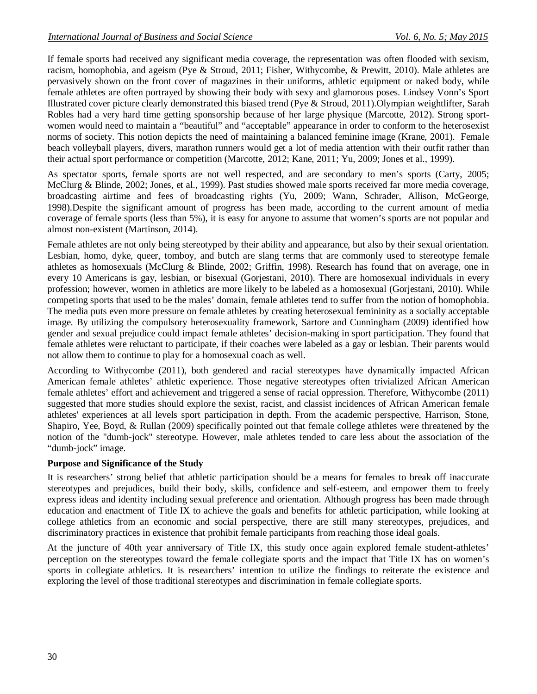If female sports had received any significant media coverage, the representation was often flooded with sexism, racism, homophobia, and ageism (Pye & Stroud, 2011; Fisher, Withycombe, & Prewitt, 2010). Male athletes are pervasively shown on the front cover of magazines in their uniforms, athletic equipment or naked body, while female athletes are often portrayed by showing their body with sexy and glamorous poses. Lindsey Vonn's Sport Illustrated cover picture clearly demonstrated this biased trend (Pye & Stroud, 2011).Olympian weightlifter, Sarah Robles had a very hard time getting sponsorship because of her large physique (Marcotte, 2012). Strong sportwomen would need to maintain a "beautiful" and "acceptable" appearance in order to conform to the heterosexist norms of society. This notion depicts the need of maintaining a balanced feminine image (Krane, 2001). Female beach volleyball players, divers, marathon runners would get a lot of media attention with their outfit rather than their actual sport performance or competition (Marcotte, 2012; Kane, 2011; Yu, 2009; Jones et al., 1999).

As spectator sports, female sports are not well respected, and are secondary to men's sports (Carty, 2005; McClurg & Blinde, 2002; Jones, et al., 1999). Past studies showed male sports received far more media coverage, broadcasting airtime and fees of broadcasting rights (Yu, 2009; Wann, Schrader, Allison, McGeorge, 1998).Despite the significant amount of progress has been made, according to the current amount of media coverage of female sports (less than 5%), it is easy for anyone to assume that women's sports are not popular and almost non-existent (Martinson, 2014).

Female athletes are not only being stereotyped by their ability and appearance, but also by their sexual orientation. Lesbian, homo, dyke, queer, tomboy, and butch are slang terms that are commonly used to stereotype female athletes as homosexuals (McClurg & Blinde, 2002; Griffin, 1998). Research has found that on average, one in every 10 Americans is gay, lesbian, or bisexual (Gorjestani, 2010). There are homosexual individuals in every profession; however, women in athletics are more likely to be labeled as a homosexual (Gorjestani, 2010). While competing sports that used to be the males' domain, female athletes tend to suffer from the notion of homophobia. The media puts even more pressure on female athletes by creating heterosexual femininity as a socially acceptable image. By utilizing the compulsory heterosexuality framework, Sartore and Cunningham (2009) identified how gender and sexual prejudice could impact female athletes' decision-making in sport participation. They found that female athletes were reluctant to participate, if their coaches were labeled as a gay or lesbian. Their parents would not allow them to continue to play for a homosexual coach as well.

According to Withycombe (2011), both gendered and racial stereotypes have dynamically impacted African American female athletes' athletic experience. Those negative stereotypes often trivialized African American female athletes' effort and achievement and triggered a sense of racial oppression. Therefore, Withycombe (2011) suggested that more studies should explore the sexist, racist, and classist incidences of African American female athletes' experiences at all levels sport participation in depth. From the academic perspective, Harrison, Stone, Shapiro, Yee, Boyd, & Rullan (2009) specifically pointed out that female college athletes were threatened by the notion of the "dumb-jock" stereotype. However, male athletes tended to care less about the association of the "dumb-jock" image.

## **Purpose and Significance of the Study**

It is researchers' strong belief that athletic participation should be a means for females to break off inaccurate stereotypes and prejudices, build their body, skills, confidence and self-esteem, and empower them to freely express ideas and identity including sexual preference and orientation. Although progress has been made through education and enactment of Title IX to achieve the goals and benefits for athletic participation, while looking at college athletics from an economic and social perspective, there are still many stereotypes, prejudices, and discriminatory practices in existence that prohibit female participants from reaching those ideal goals.

At the juncture of 40th year anniversary of Title IX, this study once again explored female student-athletes' perception on the stereotypes toward the female collegiate sports and the impact that Title IX has on women's sports in collegiate athletics. It is researchers' intention to utilize the findings to reiterate the existence and exploring the level of those traditional stereotypes and discrimination in female collegiate sports.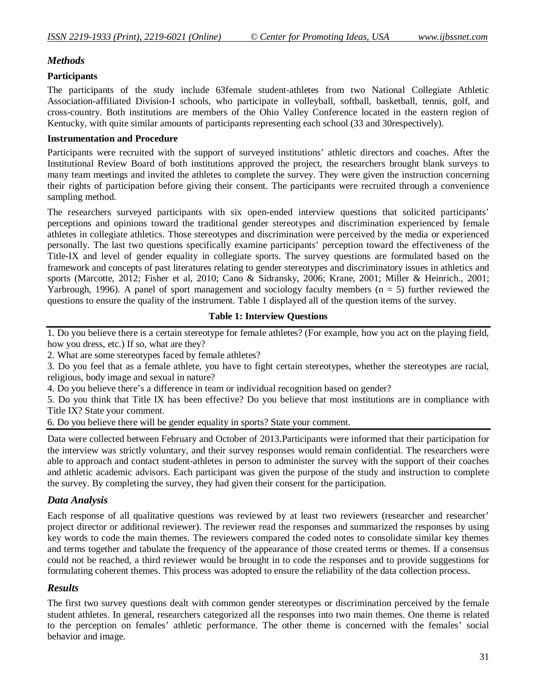## *Methods*

## **Participants**

The participants of the study include 63female student-athletes from two National Collegiate Athletic Association-affiliated Division-I schools, who participate in volleyball, softball, basketball, tennis, golf, and cross-country. Both institutions are members of the Ohio Valley Conference located in the eastern region of Kentucky, with quite similar amounts of participants representing each school (33 and 30respectively).

#### **Instrumentation and Procedure**

Participants were recruited with the support of surveyed institutions' athletic directors and coaches. After the Institutional Review Board of both institutions approved the project, the researchers brought blank surveys to many team meetings and invited the athletes to complete the survey. They were given the instruction concerning their rights of participation before giving their consent. The participants were recruited through a convenience sampling method.

The researchers surveyed participants with six open-ended interview questions that solicited participants' perceptions and opinions toward the traditional gender stereotypes and discrimination experienced by female athletes in collegiate athletics. Those stereotypes and discrimination were perceived by the media or experienced personally. The last two questions specifically examine participants' perception toward the effectiveness of the Title-IX and level of gender equality in collegiate sports. The survey questions are formulated based on the framework and concepts of past literatures relating to gender stereotypes and discriminatory issues in athletics and sports (Marcotte, 2012; Fisher et al, 2010; Cano & Sidransky, 2006; Krane, 2001; Miller & Heinrich., 2001; Yarbrough, 1996). A panel of sport management and sociology faculty members ( $n = 5$ ) further reviewed the questions to ensure the quality of the instrument. Table 1 displayed all of the question items of the survey.

## **Table 1: Interview Questions**

1. Do you believe there is a certain stereotype for female athletes? (For example, how you act on the playing field, how you dress, etc.) If so, what are they?

2. What are some stereotypes faced by female athletes?

3. Do you feel that as a female athlete, you have to fight certain stereotypes, whether the stereotypes are racial, religious, body image and sexual in nature?

4. Do you believe there's a difference in team or individual recognition based on gender?

5. Do you think that Title IX has been effective? Do you believe that most institutions are in compliance with Title IX? State your comment.

6. Do you believe there will be gender equality in sports? State your comment.

Data were collected between February and October of 2013.Participants were informed that their participation for the interview was strictly voluntary, and their survey responses would remain confidential. The researchers were able to approach and contact student-athletes in person to administer the survey with the support of their coaches and athletic academic advisors. Each participant was given the purpose of the study and instruction to complete the survey. By completing the survey, they had given their consent for the participation.

# *Data Analysis*

Each response of all qualitative questions was reviewed by at least two reviewers (researcher and researcher' project director or additional reviewer). The reviewer read the responses and summarized the responses by using key words to code the main themes. The reviewers compared the coded notes to consolidate similar key themes and terms together and tabulate the frequency of the appearance of those created terms or themes. If a consensus could not be reached, a third reviewer would be brought in to code the responses and to provide suggestions for formulating coherent themes. This process was adopted to ensure the reliability of the data collection process.

## *Results*

The first two survey questions dealt with common gender stereotypes or discrimination perceived by the female student athletes. In general, researchers categorized all the responses into two main themes. One theme is related to the perception on females' athletic performance. The other theme is concerned with the females' social behavior and image.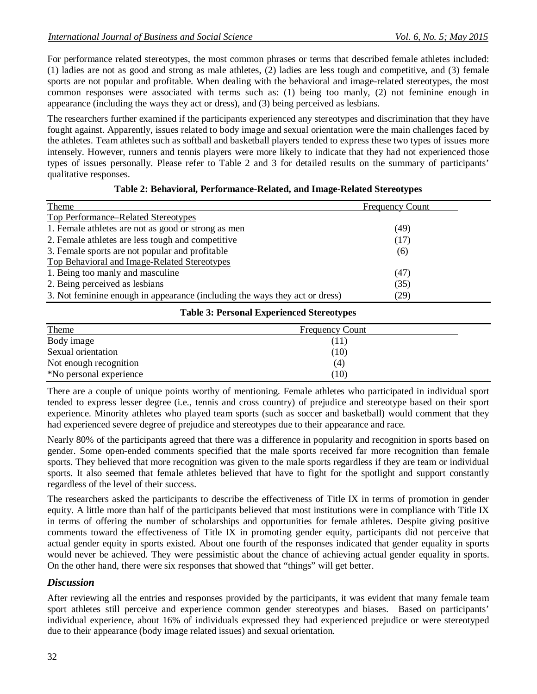For performance related stereotypes, the most common phrases or terms that described female athletes included: (1) ladies are not as good and strong as male athletes, (2) ladies are less tough and competitive, and (3) female sports are not popular and profitable. When dealing with the behavioral and image-related stereotypes, the most common responses were associated with terms such as: (1) being too manly, (2) not feminine enough in appearance (including the ways they act or dress), and (3) being perceived as lesbians.

The researchers further examined if the participants experienced any stereotypes and discrimination that they have fought against. Apparently, issues related to body image and sexual orientation were the main challenges faced by the athletes. Team athletes such as softball and basketball players tended to express these two types of issues more intensely. However, runners and tennis players were more likely to indicate that they had not experienced those types of issues personally. Please refer to Table 2 and 3 for detailed results on the summary of participants' qualitative responses.

| Theme                                                                       | <b>Frequency Count</b> |
|-----------------------------------------------------------------------------|------------------------|
| Top Performance–Related Stereotypes                                         |                        |
| 1. Female athletes are not as good or strong as men                         | (49)                   |
| 2. Female athletes are less tough and competitive                           | (17)                   |
| 3. Female sports are not popular and profitable                             | (6)                    |
| Top Behavioral and Image-Related Stereotypes                                |                        |
| 1. Being too manly and masculine                                            | (47)                   |
| 2. Being perceived as lesbians                                              | (35)                   |
| 3. Not feminine enough in appearance (including the ways they act or dress) | (29)                   |

#### **Table 2: Behavioral, Performance-Related, and Image-Related Stereotypes**

#### **Table 3: Personal Experienced Stereotypes**

| Theme                   | <b>Frequency Count</b> |  |
|-------------------------|------------------------|--|
| Body image              | (11)                   |  |
| Sexual orientation      | (10)                   |  |
| Not enough recognition  | (4)                    |  |
| *No personal experience | (10)                   |  |

There are a couple of unique points worthy of mentioning. Female athletes who participated in individual sport tended to express lesser degree (i.e., tennis and cross country) of prejudice and stereotype based on their sport experience. Minority athletes who played team sports (such as soccer and basketball) would comment that they had experienced severe degree of prejudice and stereotypes due to their appearance and race.

Nearly 80% of the participants agreed that there was a difference in popularity and recognition in sports based on gender. Some open-ended comments specified that the male sports received far more recognition than female sports. They believed that more recognition was given to the male sports regardless if they are team or individual sports. It also seemed that female athletes believed that have to fight for the spotlight and support constantly regardless of the level of their success.

The researchers asked the participants to describe the effectiveness of Title IX in terms of promotion in gender equity. A little more than half of the participants believed that most institutions were in compliance with Title IX in terms of offering the number of scholarships and opportunities for female athletes. Despite giving positive comments toward the effectiveness of Title IX in promoting gender equity, participants did not perceive that actual gender equity in sports existed. About one fourth of the responses indicated that gender equality in sports would never be achieved. They were pessimistic about the chance of achieving actual gender equality in sports. On the other hand, there were six responses that showed that "things" will get better.

# *Discussion*

After reviewing all the entries and responses provided by the participants, it was evident that many female team sport athletes still perceive and experience common gender stereotypes and biases. Based on participants' individual experience, about 16% of individuals expressed they had experienced prejudice or were stereotyped due to their appearance (body image related issues) and sexual orientation.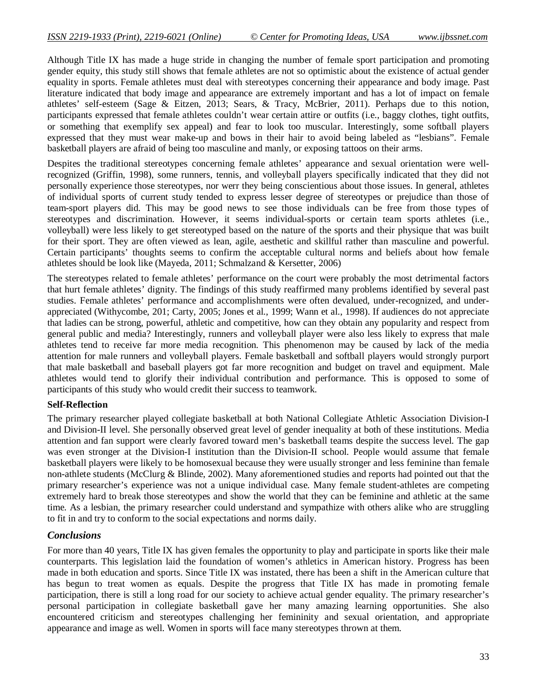Although Title IX has made a huge stride in changing the number of female sport participation and promoting gender equity, this study still shows that female athletes are not so optimistic about the existence of actual gender equality in sports. Female athletes must deal with stereotypes concerning their appearance and body image. Past literature indicated that body image and appearance are extremely important and has a lot of impact on female athletes' self-esteem (Sage & Eitzen, 2013; Sears, & Tracy, McBrier, 2011). Perhaps due to this notion, participants expressed that female athletes couldn't wear certain attire or outfits (i.e., baggy clothes, tight outfits, or something that exemplify sex appeal) and fear to look too muscular. Interestingly, some softball players expressed that they must wear make-up and bows in their hair to avoid being labeled as "lesbians". Female basketball players are afraid of being too masculine and manly, or exposing tattoos on their arms.

Despites the traditional stereotypes concerning female athletes' appearance and sexual orientation were wellrecognized (Griffin, 1998), some runners, tennis, and volleyball players specifically indicated that they did not personally experience those stereotypes, nor werr they being conscientious about those issues. In general, athletes of individual sports of current study tended to express lesser degree of stereotypes or prejudice than those of team-sport players did. This may be good news to see those individuals can be free from those types of stereotypes and discrimination. However, it seems individual-sports or certain team sports athletes (i.e., volleyball) were less likely to get stereotyped based on the nature of the sports and their physique that was built for their sport. They are often viewed as lean, agile, aesthetic and skillful rather than masculine and powerful. Certain participants' thoughts seems to confirm the acceptable cultural norms and beliefs about how female athletes should be look like (Mayeda, 2011; Schmalzand & Kersetter, 2006)

The stereotypes related to female athletes' performance on the court were probably the most detrimental factors that hurt female athletes' dignity. The findings of this study reaffirmed many problems identified by several past studies. Female athletes' performance and accomplishments were often devalued, under-recognized, and underappreciated (Withycombe, 201; Carty, 2005; Jones et al., 1999; Wann et al., 1998). If audiences do not appreciate that ladies can be strong, powerful, athletic and competitive, how can they obtain any popularity and respect from general public and media? Interestingly, runners and volleyball player were also less likely to express that male athletes tend to receive far more media recognition. This phenomenon may be caused by lack of the media attention for male runners and volleyball players. Female basketball and softball players would strongly purport that male basketball and baseball players got far more recognition and budget on travel and equipment. Male athletes would tend to glorify their individual contribution and performance. This is opposed to some of participants of this study who would credit their success to teamwork.

#### **Self-Reflection**

The primary researcher played collegiate basketball at both National Collegiate Athletic Association Division-I and Division-II level. She personally observed great level of gender inequality at both of these institutions. Media attention and fan support were clearly favored toward men's basketball teams despite the success level. The gap was even stronger at the Division-I institution than the Division-II school. People would assume that female basketball players were likely to be homosexual because they were usually stronger and less feminine than female non-athlete students (McClurg & Blinde, 2002). Many aforementioned studies and reports had pointed out that the primary researcher's experience was not a unique individual case. Many female student-athletes are competing extremely hard to break those stereotypes and show the world that they can be feminine and athletic at the same time. As a lesbian, the primary researcher could understand and sympathize with others alike who are struggling to fit in and try to conform to the social expectations and norms daily.

#### *Conclusions*

For more than 40 years, Title IX has given females the opportunity to play and participate in sports like their male counterparts. This legislation laid the foundation of women's athletics in American history. Progress has been made in both education and sports. Since Title IX was instated, there has been a shift in the American culture that has begun to treat women as equals. Despite the progress that Title IX has made in promoting female participation, there is still a long road for our society to achieve actual gender equality. The primary researcher's personal participation in collegiate basketball gave her many amazing learning opportunities. She also encountered criticism and stereotypes challenging her femininity and sexual orientation, and appropriate appearance and image as well. Women in sports will face many stereotypes thrown at them.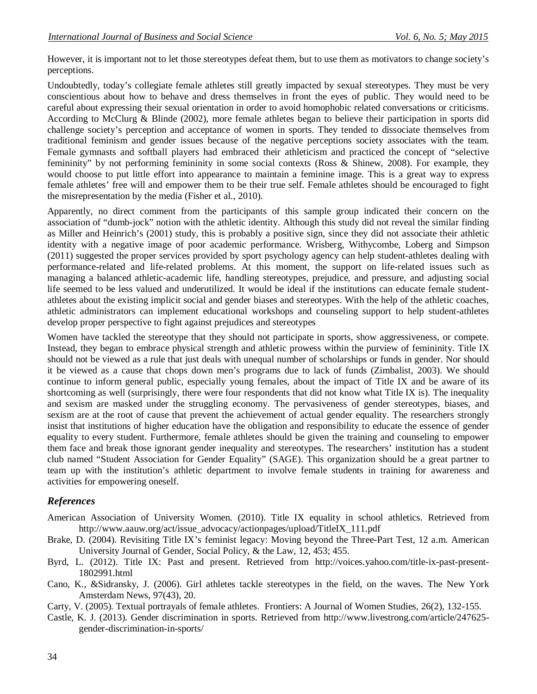However, it is important not to let those stereotypes defeat them, but to use them as motivators to change society's perceptions.

Undoubtedly, today's collegiate female athletes still greatly impacted by sexual stereotypes. They must be very conscientious about how to behave and dress themselves in front the eyes of public. They would need to be careful about expressing their sexual orientation in order to avoid homophobic related conversations or criticisms. According to McClurg & Blinde (2002), more female athletes began to believe their participation in sports did challenge society's perception and acceptance of women in sports. They tended to dissociate themselves from traditional feminism and gender issues because of the negative perceptions society associates with the team. Female gymnasts and softball players had embraced their athleticism and practiced the concept of "selective femininity" by not performing femininity in some social contexts (Ross & Shinew, 2008). For example, they would choose to put little effort into appearance to maintain a feminine image. This is a great way to express female athletes' free will and empower them to be their true self. Female athletes should be encouraged to fight the misrepresentation by the media (Fisher et al., 2010).

Apparently, no direct comment from the participants of this sample group indicated their concern on the association of "dumb-jock" notion with the athletic identity. Although this study did not reveal the similar finding as Miller and Heinrich's (2001) study, this is probably a positive sign, since they did not associate their athletic identity with a negative image of poor academic performance. Wrisberg, Withycombe, Loberg and Simpson (2011) suggested the proper services provided by sport psychology agency can help student-athletes dealing with performance-related and life-related problems. At this moment, the support on life-related issues such as managing a balanced athletic-academic life, handling stereotypes, prejudice, and pressure, and adjusting social life seemed to be less valued and underutilized. It would be ideal if the institutions can educate female studentathletes about the existing implicit social and gender biases and stereotypes. With the help of the athletic coaches, athletic administrators can implement educational workshops and counseling support to help student-athletes develop proper perspective to fight against prejudices and stereotypes

Women have tackled the stereotype that they should not participate in sports, show aggressiveness, or compete. Instead, they began to embrace physical strength and athletic prowess within the purview of femininity. Title IX should not be viewed as a rule that just deals with unequal number of scholarships or funds in gender. Nor should it be viewed as a cause that chops down men's programs due to lack of funds (Zimbalist, 2003). We should continue to inform general public, especially young females, about the impact of Title IX and be aware of its shortcoming as well (surprisingly, there were four respondents that did not know what Title IX is). The inequality and sexism are masked under the struggling economy. The pervasiveness of gender stereotypes, biases, and sexism are at the root of cause that prevent the achievement of actual gender equality. The researchers strongly insist that institutions of higher education have the obligation and responsibility to educate the essence of gender equality to every student. Furthermore, female athletes should be given the training and counseling to empower them face and break those ignorant gender inequality and stereotypes. The researchers' institution has a student club named "Student Association for Gender Equality" (SAGE). This organization should be a great partner to team up with the institution's athletic department to involve female students in training for awareness and activities for empowering oneself.

## *References*

- American Association of University Women. (2010). Title IX equality in school athletics. Retrieved from http://www.aauw.org/act/issue\_advocacy/actionpages/upload/TitleIX\_111.pdf
- Brake, D. (2004). Revisiting Title IX's feminist legacy: Moving beyond the Three-Part Test, 12 a.m. American University Journal of Gender, Social Policy, & the Law, 12, 453; 455.
- Byrd, L. (2012). Title IX: Past and present. Retrieved from http://voices.yahoo.com/title-ix-past-present-1802991.html
- Cano, K., &Sidransky, J. (2006). Girl athletes tackle stereotypes in the field, on the waves. The New York Amsterdam News, 97(43), 20.
- Carty, V. (2005). Textual portrayals of female athletes. Frontiers: A Journal of Women Studies, 26(2), 132-155.
- Castle, K. J. (2013). Gender discrimination in sports. Retrieved from http://www.livestrong.com/article/247625 gender-discrimination-in-sports/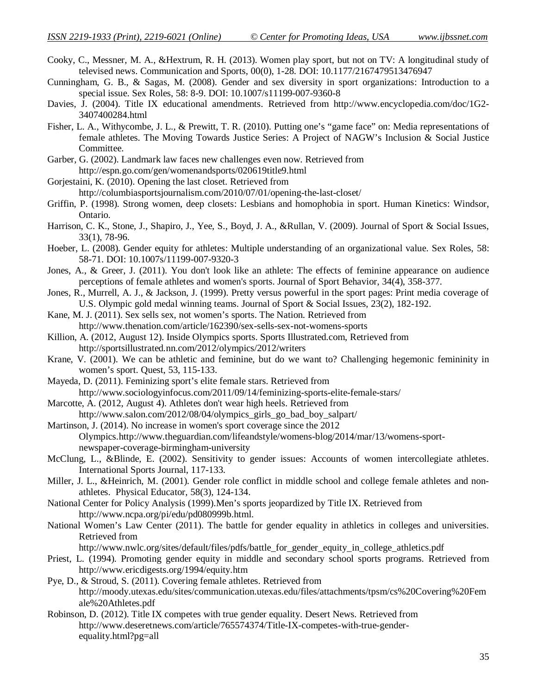- Cooky, C., Messner, M. A., &Hextrum, R. H. (2013). Women play sport, but not on TV: A longitudinal study of televised news. Communication and Sports, 00(0), 1-28. DOI: 10.1177/2167479513476947
- Cunningham, G. B., & Sagas, M. (2008). Gender and sex diversity in sport organizations: Introduction to a special issue. Sex Roles, 58: 8-9. DOI: 10.1007/s11199-007-9360-8
- Davies, J. (2004). Title IX educational amendments. Retrieved from http://www.encyclopedia.com/doc/1G2- 3407400284.html
- Fisher, L. A., Withycombe, J. L., & Prewitt, T. R. (2010). Putting one's "game face" on: Media representations of female athletes. The Moving Towards Justice Series: A Project of NAGW's Inclusion & Social Justice Committee.
- Garber, G. (2002). Landmark law faces new challenges even now. Retrieved from http://espn.go.com/gen/womenandsports/020619title9.html
- Gorjestaini, K. (2010). Opening the last closet. Retrieved from http://columbiasportsjournalism.com/2010/07/01/opening-the-last-closet/
- Griffin, P. (1998). Strong women, deep closets: Lesbians and homophobia in sport. Human Kinetics: Windsor, Ontario.
- Harrison, C. K., Stone, J., Shapiro, J., Yee, S., Boyd, J. A., &Rullan, V. (2009). Journal of Sport & Social Issues, 33(1), 78-96.
- Hoeber, L. (2008). Gender equity for athletes: Multiple understanding of an organizational value. Sex Roles, 58: 58-71. DOI: 10.1007s/11199-007-9320-3
- Jones, A., & Greer, J. (2011). You don't look like an athlete: The effects of feminine appearance on audience perceptions of female athletes and women's sports. Journal of Sport Behavior, 34(4), 358-377.
- Jones, R., Murrell, A. J., & Jackson, J. (1999). Pretty versus powerful in the sport pages: Print media coverage of U.S. Olympic gold medal winning teams. Journal of Sport & Social Issues, 23(2), 182-192.
- Kane, M. J. (2011). Sex sells sex, not women's sports. The Nation. Retrieved from http://www.thenation.com/article/162390/sex-sells-sex-not-womens-sports
- Killion, A. (2012, August 12). Inside Olympics sports. Sports Illustrated.com, Retrieved from http://sportsillustrated.nn.com/2012/olympics/2012/writers
- Krane, V. (2001). We can be athletic and feminine, but do we want to? Challenging hegemonic femininity in women's sport. Quest, 53, 115-133.
- Mayeda, D. (2011). Feminizing sport's elite female stars. Retrieved from http://www.sociologyinfocus.com/2011/09/14/feminizing-sports-elite-female-stars/
- Marcotte, A. (2012, August 4). Athletes don't wear high heels. Retrieved from http://www.salon.com/2012/08/04/olympics\_girls\_go\_bad\_boy\_salpart/
- Martinson, J. (2014). No increase in women's sport coverage since the 2012 Olympics.http://www.theguardian.com/lifeandstyle/womens-blog/2014/mar/13/womens-sportnewspaper-coverage-birmingham-university
- McClung, L., &Blinde, E. (2002). Sensitivity to gender issues: Accounts of women intercollegiate athletes. International Sports Journal, 117-133.
- Miller, J. L., &Heinrich, M. (2001). Gender role conflict in middle school and college female athletes and nonathletes. Physical Educator, 58(3), 124-134.
- National Center for Policy Analysis (1999).Men's sports jeopardized by Title IX. Retrieved from http://www.ncpa.org/pi/edu/pd080999b.html.
- National Women's Law Center (2011). The battle for gender equality in athletics in colleges and universities. Retrieved from

http://www.nwlc.org/sites/default/files/pdfs/battle for gender equity in college athletics.pdf

- Priest, L. (1994). Promoting gender equity in middle and secondary school sports programs. Retrieved from http://www.ericdigests.org/1994/equity.htm
- Pye, D., & Stroud, S. (2011). Covering female athletes. Retrieved from http://moody.utexas.edu/sites/communication.utexas.edu/files/attachments/tpsm/cs%20Covering%20Fem ale%20Athletes.pdf
- Robinson, D. (2012). Title IX competes with true gender equality. Desert News. Retrieved from http://www.deseretnews.com/article/765574374/Title-IX-competes-with-true-genderequality.html?pg=all